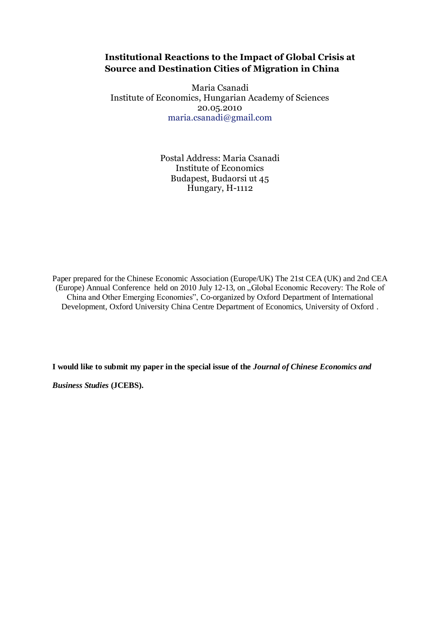## **Institutional Reactions to the Impact of Global Crisis at Source and Destination Cities of Migration in China**

Maria Csanadi Institute of Economics, Hungarian Academy of Sciences 20.05.2010 [maria.csanadi@gmail.com](mailto:maria.csanadi@gmail.com)

> Postal Address: Maria Csanadi Institute of Economics Budapest, Budaorsi ut 45 Hungary, H-1112

Paper prepared for the Chinese Economic Association (Europe/UK) The 21st CEA (UK) and 2nd CEA (Europe) Annual Conference held on 2010 July 12-13, on "Global Economic Recovery: The Role of China and Other Emerging Economies", Co-organized by Oxford Department of International Development, Oxford University China Centre Department of Economics, University of Oxford .

**I would like to submit my paper in the special issue of the** *Journal of Chinese Economics and* 

*Business Studies* **(JCEBS).**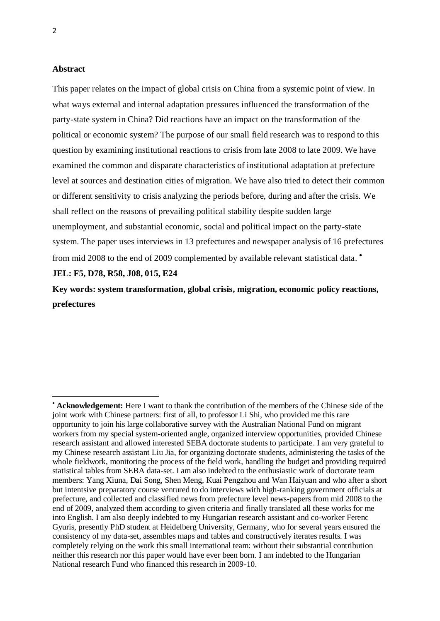## **Abstract**

This paper relates on the impact of global crisis on China from a systemic point of view. In what ways external and internal adaptation pressures influenced the transformation of the party-state system in China? Did reactions have an impact on the transformation of the political or economic system? The purpose of our small field research was to respond to this question by examining institutional reactions to crisis from late 2008 to late 2009. We have examined the common and disparate characteristics of institutional adaptation at prefecture level at sources and destination cities of migration. We have also tried to detect their common or different sensitivity to crisis analyzing the periods before, during and after the crisis. We shall reflect on the reasons of prevailing political stability despite sudden large unemployment, and substantial economic, social and political impact on the party-state system. The paper uses interviews in 13 prefectures and newspaper analysis of 16 prefectures from mid 2008 to the end of 2009 complemented by available relevant statistical data.

#### **JEL: F5, D78, R58, J08, 015, E24**

**Key words: system transformation, global crisis, migration, economic policy reactions, prefectures**

 $\overline{a}$ 

**Acknowledgement:** Here I want to thank the contribution of the members of the Chinese side of the joint work with Chinese partners: first of all, to professor Li Shi, who provided me this rare opportunity to join his large collaborative survey with the Australian National Fund on migrant workers from my special system-oriented angle, organized interview opportunities, provided Chinese research assistant and allowed interested SEBA doctorate students to participate. I am very grateful to my Chinese research assistant Liu Jia, for organizing doctorate students, administering the tasks of the whole fieldwork, monitoring the process of the field work, handling the budget and providing required statistical tables from SEBA data-set. I am also indebted to the enthusiastic work of doctorate team members: Yang Xiuna, Dai Song, Shen Meng, Kuai Pengzhou and Wan Haiyuan and who after a short but intentsive preparatory course ventured to do interviews with high-ranking government officials at prefecture, and collected and classified news from prefecture level news-papers from mid 2008 to the end of 2009, analyzed them according to given criteria and finally translated all these works for me into English. I am also deeply indebted to my Hungarian research assistant and co-worker Ferenc Gyuris, presently PhD student at Heidelberg University, Germany, who for several years ensured the consistency of my data-set, assembles maps and tables and constructively iterates results. I was completely relying on the work this small international team: without their substantial contribution neither this research nor this paper would have ever been born. I am indebted to the Hungarian National research Fund who financed this research in 2009-10.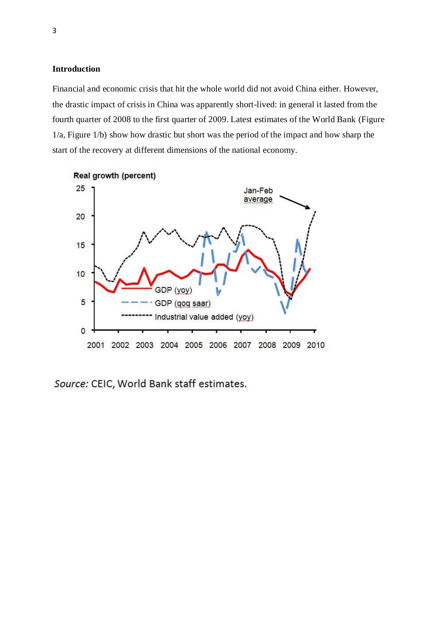## **Introduction**

Financial and economic crisis that hit the whole world did not avoid China either. However, the drastic impact of crisis in China was apparently short-lived: in general it lasted from the fourth quarter of 2008 to the first quarter of 2009. Latest estimates of the World Bank (Figure 1/a, Figure 1/b) show how drastic but short was the period of the impact and how sharp the start of the recovery at different dimensions of the national economy.



Source: CEIC, World Bank staff estimates.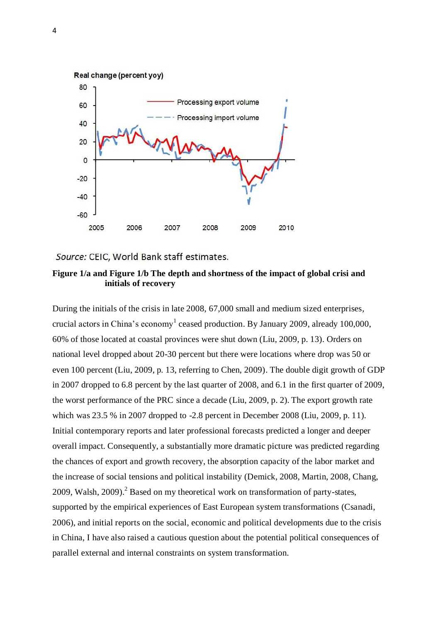

Source: CEIC, World Bank staff estimates.

## **Figure 1/a and Figure 1/b The depth and shortness of the impact of global crisi and initials of recovery**

During the initials of the crisis in late 2008, 67,000 small and medium sized enterprises, crucial actors in China's economy<sup>1</sup> ceased production. By January 2009, already 100,000, 60% of those located at coastal provinces were shut down (Liu, 2009, p. 13). Orders on national level dropped about 20-30 percent but there were locations where drop was 50 or even 100 percent (Liu, 2009, p. 13, referring to Chen, 2009). The double digit growth of GDP in 2007 dropped to 6.8 percent by the last quarter of 2008, and 6.1 in the first quarter of 2009, the worst performance of the PRC since a decade (Liu, 2009, p. 2). The export growth rate which was 23.5 % in 2007 dropped to -2.8 percent in December 2008 (Liu, 2009, p. 11). Initial contemporary reports and later professional forecasts predicted a longer and deeper overall impact. Consequently, a substantially more dramatic picture was predicted regarding the chances of export and growth recovery, the absorption capacity of the labor market and the increase of social tensions and political instability (Demick, 2008, Martin, 2008, Chang, 2009, Walsh, 2009).<sup>2</sup> Based on my theoretical work on transformation of party-states, supported by the empirical experiences of East European system transformations (Csanadi, 2006), and initial reports on the social, economic and political developments due to the crisis in China, I have also raised a cautious question about the potential political consequences of parallel external and internal constraints on system transformation.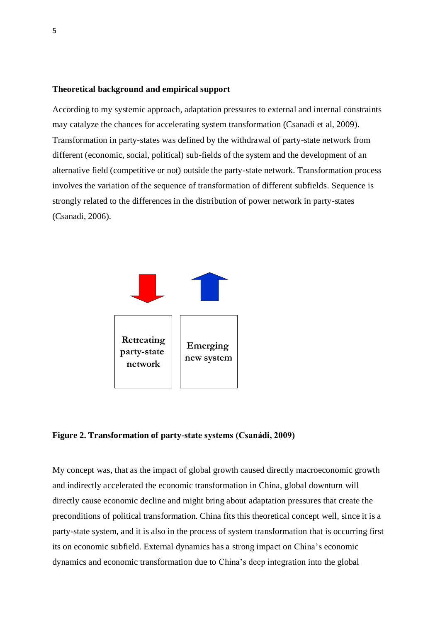#### **Theoretical background and empirical support**

According to my systemic approach, adaptation pressures to external and internal constraints may catalyze the chances for accelerating system transformation (Csanadi et al, 2009). Transformation in party-states was defined by the withdrawal of party-state network from different (economic, social, political) sub-fields of the system and the development of an alternative field (competitive or not) outside the party-state network. Transformation process involves the variation of the sequence of transformation of different subfields. Sequence is strongly related to the differences in the distribution of power network in party-states (Csanadi, 2006).



## **Figure 2. Transformation of party-state systems (Csanádi, 2009)**

My concept was, that as the impact of global growth caused directly macroeconomic growth and indirectly accelerated the economic transformation in China, global downturn will directly cause economic decline and might bring about adaptation pressures that create the preconditions of political transformation. China fits this theoretical concept well, since it is a party-state system, and it is also in the process of system transformation that is occurring first its on economic subfield. External dynamics has a strong impact on China's economic dynamics and economic transformation due to China's deep integration into the global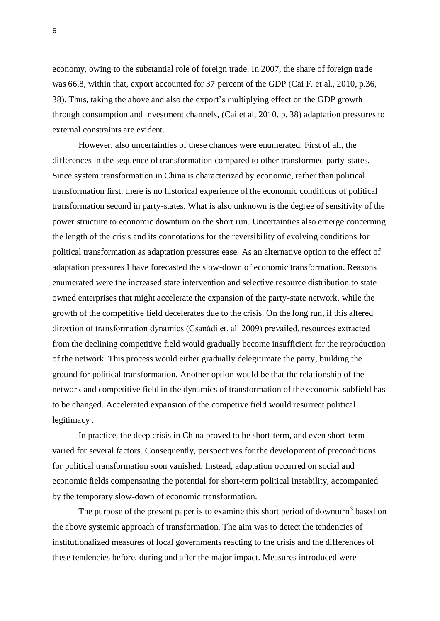economy, owing to the substantial role of foreign trade. In 2007, the share of foreign trade was 66.8, within that, export accounted for 37 percent of the GDP (Cai F. et al., 2010, p.36, 38). Thus, taking the above and also the export's multiplying effect on the GDP growth through consumption and investment channels, (Cai et al, 2010, p. 38) adaptation pressures to external constraints are evident.

However, also uncertainties of these chances were enumerated. First of all, the differences in the sequence of transformation compared to other transformed party-states. Since system transformation in China is characterized by economic, rather than political transformation first, there is no historical experience of the economic conditions of political transformation second in party-states. What is also unknown is the degree of sensitivity of the power structure to economic downturn on the short run. Uncertainties also emerge concerning the length of the crisis and its connotations for the reversibility of evolving conditions for political transformation as adaptation pressures ease. As an alternative option to the effect of adaptation pressures I have forecasted the slow-down of economic transformation. Reasons enumerated were the increased state intervention and selective resource distribution to state owned enterprises that might accelerate the expansion of the party-state network, while the growth of the competitive field decelerates due to the crisis. On the long run, if this altered direction of transformation dynamics (Csanádi et. al. 2009) prevailed, resources extracted from the declining competitive field would gradually become insufficient for the reproduction of the network. This process would either gradually delegitimate the party, building the ground for political transformation. Another option would be that the relationship of the network and competitive field in the dynamics of transformation of the economic subfield has to be changed. Accelerated expansion of the competive field would resurrect political legitimacy .

In practice, the deep crisis in China proved to be short-term, and even short-term varied for several factors. Consequently, perspectives for the development of preconditions for political transformation soon vanished. Instead, adaptation occurred on social and economic fields compensating the potential for short-term political instability, accompanied by the temporary slow-down of economic transformation.

The purpose of the present paper is to examine this short period of downturn<sup>3</sup> based on the above systemic approach of transformation. The aim was to detect the tendencies of institutionalized measures of local governments reacting to the crisis and the differences of these tendencies before, during and after the major impact. Measures introduced were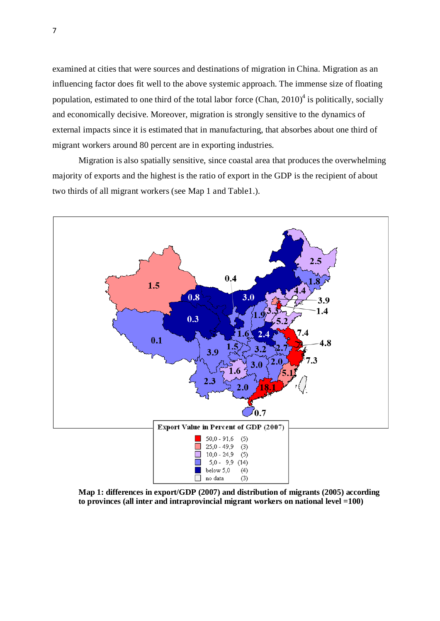examined at cities that were sources and destinations of migration in China. Migration as an influencing factor does fit well to the above systemic approach. The immense size of floating population, estimated to one third of the total labor force  $(Chan, 2010)^4$  is politically, socially and economically decisive. Moreover, migration is strongly sensitive to the dynamics of external impacts since it is estimated that in manufacturing, that absorbes about one third of migrant workers around 80 percent are in exporting industries.

Migration is also spatially sensitive, since coastal area that produces the overwhelming majority of exports and the highest is the ratio of export in the GDP is the recipient of about two thirds of all migrant workers (see Map 1 and Table1.).



**Map 1: differences in export/GDP (2007) and distribution of migrants (2005) according to provinces (all inter and intraprovincial migrant workers on national level =100)**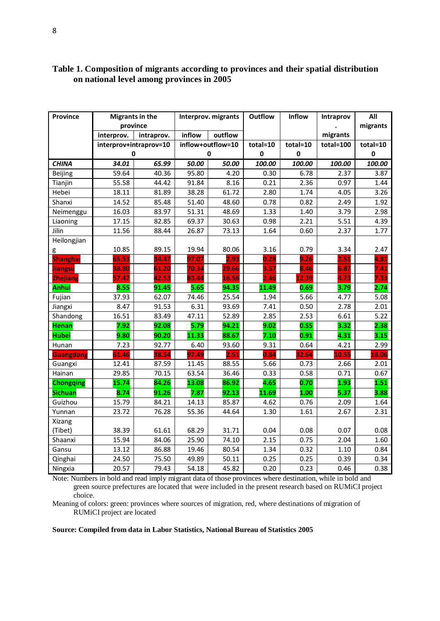| <b>Province</b>  | <b>Migrants in the</b> |            | Interprov. migrants |         | Outflow  | Inflow       | Intraprov | All          |
|------------------|------------------------|------------|---------------------|---------|----------|--------------|-----------|--------------|
|                  | province               |            |                     |         |          |              |           | migrants     |
|                  | interprov.             | intraprov. | inflow              | outflow |          |              | migrants  |              |
|                  | interprov+intraprov=10 |            | inflow+outflow=10   |         | total=10 | total=10     | total=100 | total=10     |
|                  | 0                      |            | 0                   |         | 0        | $\mathbf{0}$ |           | $\mathbf{0}$ |
| <b>CHINA</b>     | 34.01                  | 65.99      | 50.00               | 50.00   | 100.00   | 100.00       | 100.00    | 100.00       |
| Beijing          | 59.64                  | 40.36      | 95.80               | 4.20    | 0.30     | 6.78         | 2.37      | 3.87         |
| Tianjin          | 55.58                  | 44.42      | 91.84               | 8.16    | 0.21     | 2.36         | 0.97      | 1.44         |
| Hebei            | 18.11                  | 81.89      | 38.28               | 61.72   | 2.80     | 1.74         | 4.05      | 3.26         |
| Shanxi           | 14.52                  | 85.48      | 51.40               | 48.60   | 0.78     | 0.82         | 2.49      | 1.92         |
| Neimenggu        | 16.03                  | 83.97      | 51.31               | 48.69   | 1.33     | 1.40         | 3.79      | 2.98         |
| Liaoning         | 17.15                  | 82.85      | 69.37               | 30.63   | 0.98     | 2.21         | 5.51      | 4.39         |
| Jilin            | 11.56                  | 88.44      | 26.87               | 73.13   | 1.64     | 0.60         | 2.37      | 1.77         |
| Heilongjian      |                        |            |                     |         |          |              |           |              |
| g                | 10.85                  | 89.15      | 19.94               | 80.06   | 3.16     | 0.79         | 3.34      | 2.47         |
| <b>Shanghai</b>  | 65.53                  | 34.47      | 97.07               | 2.93    | 0.28     | 9.26         | 2.51      | 4.81         |
| Jiangsu          | 38.80                  | 61.20      | 70.34               | 29.66   | 3.57     | 8.46         | 6.87      | 7.41         |
| <b>Zhejiang</b>  | 57.47                  | 42.53      | 83.44               | 16.56   | 2.46     | 12.39        | 4.73      | 7.33         |
| <b>Anhui</b>     | 8.55                   | 91.45      | 5.65                | 94.35   | 11.49    | 0.69         | 3.79      | 2.74         |
| Fujian           | 37.93                  | 62.07      | 74.46               | 25.54   | 1.94     | 5.66         | 4.77      | 5.08         |
| Jiangxi          | 8.47                   | 91.53      | 6.31                | 93.69   | 7.41     | 0.50         | 2.78      | 2.01         |
| Shandong         | 16.51                  | 83.49      | 47.11               | 52.89   | 2.85     | 2.53         | 6.61      | 5.22         |
| <b>Henan</b>     | 7.92                   | 92.08      | 5.79                | 94.21   | 9.02     | 0.55         | 3.32      | 2.38         |
| <b>Hubei</b>     | 9.80                   | 90.20      | 11.33               | 88.67   | 7.10     | 0.91         | 4.31      | 3.15         |
| Hunan            | 7.23                   | 92.77      | 6.40                | 93.60   | 9.31     | 0.64         | 4.21      | 2.99         |
| <b>Guangdong</b> | 61.46                  | 38.54      | 97.49               | 2.51    | 0.84     | 32.64        | 10.55     | 18.06        |
| Guangxi          | 12.41                  | 87.59      | 11.45               | 88.55   | 5.66     | 0.73         | 2.66      | 2.01         |
| Hainan           | 29.85                  | 70.15      | 63.54               | 36.46   | 0.33     | 0.58         | 0.71      | 0.67         |
| <b>Chongqing</b> | 15.74                  | 84.26      | 13.08               | 86.92   | 4.65     | 0.70         | 1.93      | 1.51         |
| <b>Sichuan</b>   | 8.74                   | 91.26      | 7.87                | 92.13   | 11.69    | 1.00         | 5.37      | 3.88         |
| Guizhou          | 15.79                  | 84.21      | 14.13               | 85.87   | 4.62     | 0.76         | 2.09      | 1.64         |
| Yunnan           | 23.72                  | 76.28      | 55.36               | 44.64   | 1.30     | 1.61         | 2.67      | 2.31         |
| Xizang           |                        |            |                     |         |          |              |           |              |
| (Tibet)          | 38.39                  | 61.61      | 68.29               | 31.71   | 0.04     | 0.08         | 0.07      | 0.08         |
| Shaanxi          | 15.94                  | 84.06      | 25.90               | 74.10   | 2.15     | 0.75         | 2.04      | 1.60         |
| Gansu            | 13.12                  | 86.88      | 19.46               | 80.54   | 1.34     | 0.32         | 1.10      | 0.84         |
| Qinghai          | 24.50                  | 75.50      | 49.89               | 50.11   | 0.25     | 0.25         | 0.39      | 0.34         |
| Ningxia          | 20.57                  | 79.43      | 54.18               | 45.82   | 0.20     | 0.23         | 0.46      | 0.38         |

## **Table 1. Composition of migrants according to provinces and their spatial distribution on national level among provinces in 2005**

Note: Numbers in bold and read imply migrant data of those provinces where destination, while in bold and green source prefectures are located that were included in the present research based on RUMiCI project choice.

Meaning of colors: green: provinces where sources of migration, red, where destinations of migration of RUMiCI project are located

#### **Source: Compiled from data in Labor Statistics, National Bureau of Statistics 2005**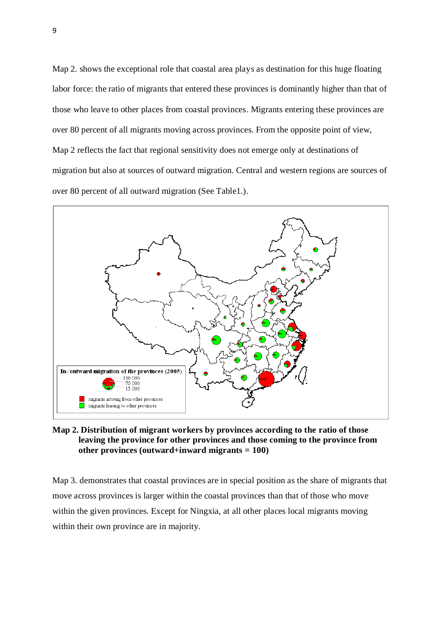Map 2. shows the exceptional role that coastal area plays as destination for this huge floating labor force: the ratio of migrants that entered these provinces is dominantly higher than that of those who leave to other places from coastal provinces. Migrants entering these provinces are over 80 percent of all migrants moving across provinces. From the opposite point of view, Map 2 reflects the fact that regional sensitivity does not emerge only at destinations of migration but also at sources of outward migration. Central and western regions are sources of over 80 percent of all outward migration (See Table1.).



**Map 2. Distribution of migrant workers by provinces according to the ratio of those leaving the province for other provinces and those coming to the province from other provinces (outward+inward migrants = 100)**

Map 3. demonstrates that coastal provinces are in special position as the share of migrants that move across provinces is larger within the coastal provinces than that of those who move within the given provinces. Except for Ningxia, at all other places local migrants moving within their own province are in majority.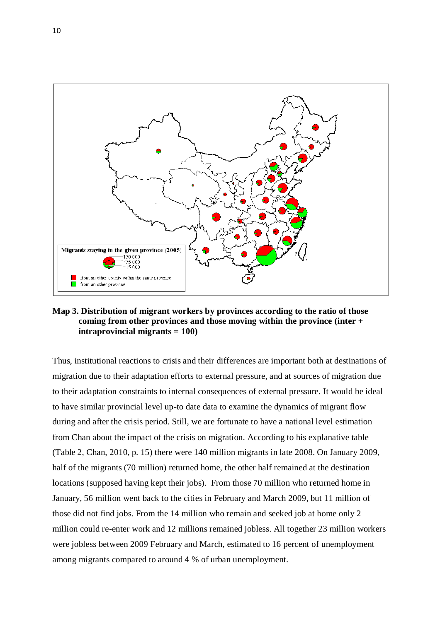

**Map 3. Distribution of migrant workers by provinces according to the ratio of those coming from other provinces and those moving within the province (inter + intraprovincial migrants = 100)**

Thus, institutional reactions to crisis and their differences are important both at destinations of migration due to their adaptation efforts to external pressure, and at sources of migration due to their adaptation constraints to internal consequences of external pressure. It would be ideal to have similar provincial level up-to date data to examine the dynamics of migrant flow during and after the crisis period. Still, we are fortunate to have a national level estimation from Chan about the impact of the crisis on migration. According to his explanative table (Table 2, Chan, 2010, p. 15) there were 140 million migrants in late 2008. On January 2009, half of the migrants (70 million) returned home, the other half remained at the destination locations (supposed having kept their jobs). From those 70 million who returned home in January, 56 million went back to the cities in February and March 2009, but 11 million of those did not find jobs. From the 14 million who remain and seeked job at home only 2 million could re-enter work and 12 millions remained jobless. All together 23 million workers were jobless between 2009 February and March, estimated to 16 percent of unemployment among migrants compared to around 4 % of urban unemployment.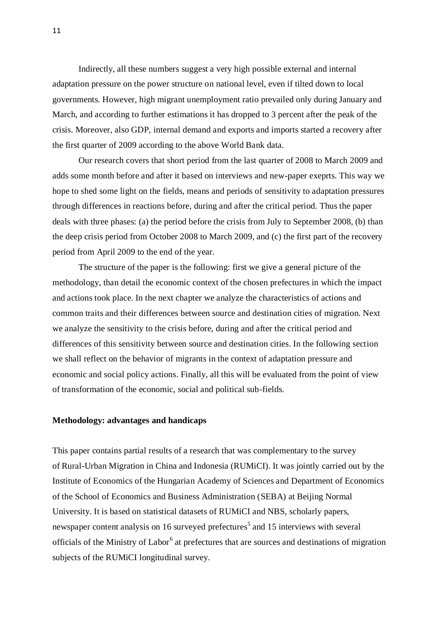Indirectly, all these numbers suggest a very high possible external and internal adaptation pressure on the power structure on national level, even if tilted down to local governments. However, high migrant unemployment ratio prevailed only during January and March, and according to further estimations it has dropped to 3 percent after the peak of the crisis. Moreover, also GDP, internal demand and exports and imports started a recovery after the first quarter of 2009 according to the above World Bank data.

Our research covers that short period from the last quarter of 2008 to March 2009 and adds some month before and after it based on interviews and new-paper exeprts. This way we hope to shed some light on the fields, means and periods of sensitivity to adaptation pressures through differences in reactions before, during and after the critical period. Thus the paper deals with three phases: (a) the period before the crisis from July to September 2008, (b) than the deep crisis period from October 2008 to March 2009, and (c) the first part of the recovery period from April 2009 to the end of the year.

The structure of the paper is the following: first we give a general picture of the methodology, than detail the economic context of the chosen prefectures in which the impact and actions took place. In the next chapter we analyze the characteristics of actions and common traits and their differences between source and destination cities of migration. Next we analyze the sensitivity to the crisis before, during and after the critical period and differences of this sensitivity between source and destination cities. In the following section we shall reflect on the behavior of migrants in the context of adaptation pressure and economic and social policy actions. Finally, all this will be evaluated from the point of view of transformation of the economic, social and political sub-fields.

#### **Methodology: advantages and handicaps**

This paper contains partial results of a research that was complementary to the survey of Rural-Urban Migration in China and Indonesia (RUMiCI). It was jointly carried out by the Institute of Economics of the Hungarian Academy of Sciences and Department of Economics of the School of Economics and Business Administration (SEBA) at Beijing Normal University. It is based on statistical datasets of RUMiCI and NBS, scholarly papers, newspaper content analysis on 16 surveyed prefectures<sup>5</sup> and 15 interviews with several officials of the Ministry of Labor<sup>6</sup> at prefectures that are sources and destinations of migration subjects of the RUMiCI longitudinal survey.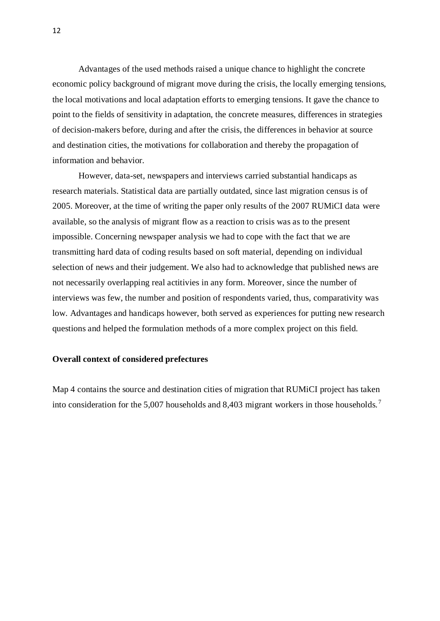Advantages of the used methods raised a unique chance to highlight the concrete economic policy background of migrant move during the crisis, the locally emerging tensions, the local motivations and local adaptation efforts to emerging tensions. It gave the chance to point to the fields of sensitivity in adaptation, the concrete measures, differences in strategies of decision-makers before, during and after the crisis, the differences in behavior at source and destination cities, the motivations for collaboration and thereby the propagation of information and behavior.

However, data-set, newspapers and interviews carried substantial handicaps as research materials. Statistical data are partially outdated, since last migration census is of 2005. Moreover, at the time of writing the paper only results of the 2007 RUMiCI data were available, so the analysis of migrant flow as a reaction to crisis was as to the present impossible. Concerning newspaper analysis we had to cope with the fact that we are transmitting hard data of coding results based on soft material, depending on individual selection of news and their judgement. We also had to acknowledge that published news are not necessarily overlapping real actitivies in any form. Moreover, since the number of interviews was few, the number and position of respondents varied, thus, comparativity was low. Advantages and handicaps however, both served as experiences for putting new research questions and helped the formulation methods of a more complex project on this field.

## **Overall context of considered prefectures**

Map 4 contains the source and destination cities of migration that RUMiCI project has taken into consideration for the 5,007 households and 8,403 migrant workers in those households. <sup>7</sup>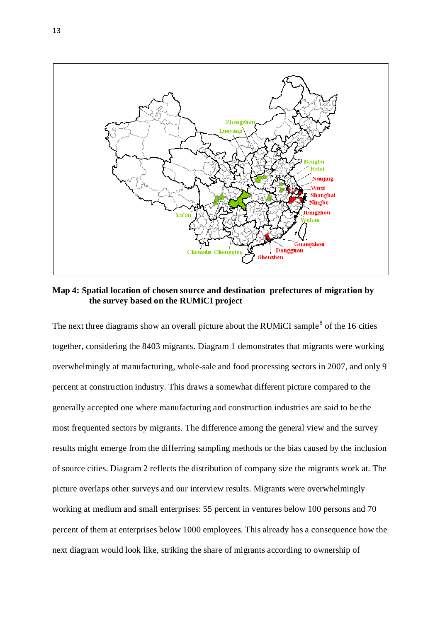

## **Map 4: Spatial location of chosen source and destination prefectures of migration by the survey based on the RUMiCI project**

The next three diagrams show an overall picture about the RUMiCI sample  $8$  of the 16 cities together, considering the 8403 migrants. Diagram 1 demonstrates that migrants were working overwhelmingly at manufacturing, whole-sale and food processing sectors in 2007, and only 9 percent at construction industry. This draws a somewhat different picture compared to the generally accepted one where manufacturing and construction industries are said to be the most frequented sectors by migrants. The difference among the general view and the survey results might emerge from the differring sampling methods or the bias caused by the inclusion of source cities. Diagram 2 reflects the distribution of company size the migrants work at. The picture overlaps other surveys and our interview results. Migrants were overwhelmingly working at medium and small enterprises: 55 percent in ventures below 100 persons and 70 percent of them at enterprises below 1000 employees. This already has a consequence how the next diagram would look like, striking the share of migrants according to ownership of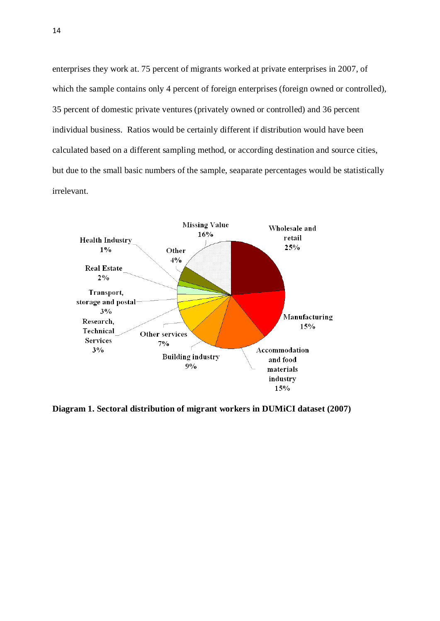enterprises they work at. 75 percent of migrants worked at private enterprises in 2007, of which the sample contains only 4 percent of foreign enterprises (foreign owned or controlled), 35 percent of domestic private ventures (privately owned or controlled) and 36 percent individual business. Ratios would be certainly different if distribution would have been calculated based on a different sampling method, or according destination and source cities, but due to the small basic numbers of the sample, seaparate percentages would be statistically irrelevant.



**Diagram 1. Sectoral distribution of migrant workers in DUMiCI dataset (2007)**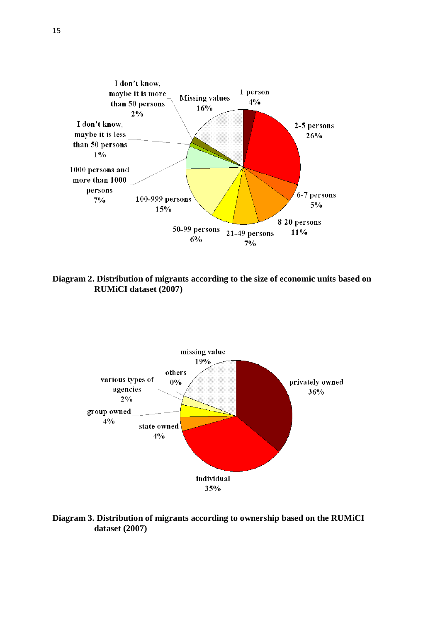

**Diagram 2. Distribution of migrants according to the size of economic units based on RUMiCI dataset (2007)**



**Diagram 3. Distribution of migrants according to ownership based on the RUMiCI dataset (2007)**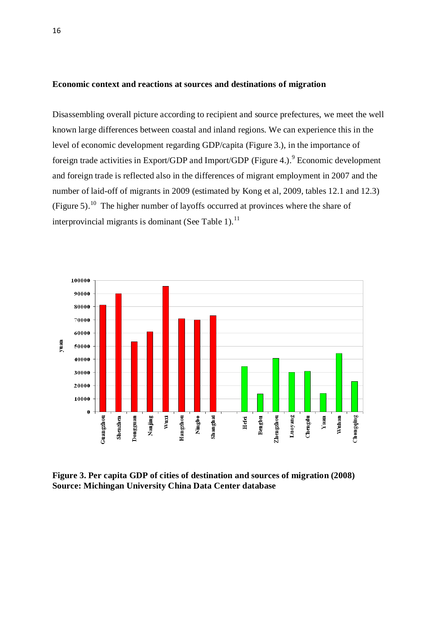#### **Economic context and reactions at sources and destinations of migration**

Disassembling overall picture according to recipient and source prefectures, we meet the well known large differences between coastal and inland regions. We can experience this in the level of economic development regarding GDP/capita (Figure 3.), in the importance of foreign trade activities in Export/GDP and Import/GDP (Figure 4.).<sup>9</sup> Economic development and foreign trade is reflected also in the differences of migrant employment in 2007 and the number of laid-off of migrants in 2009 (estimated by Kong et al, 2009, tables 12.1 and 12.3) (Figure 5).<sup>10</sup> The higher number of layoffs occurred at provinces where the share of interprovincial migrants is dominant (See Table 1).<sup>11</sup>



**Figure 3. Per capita GDP of cities of destination and sources of migration (2008) Source: Michingan University China Data Center database**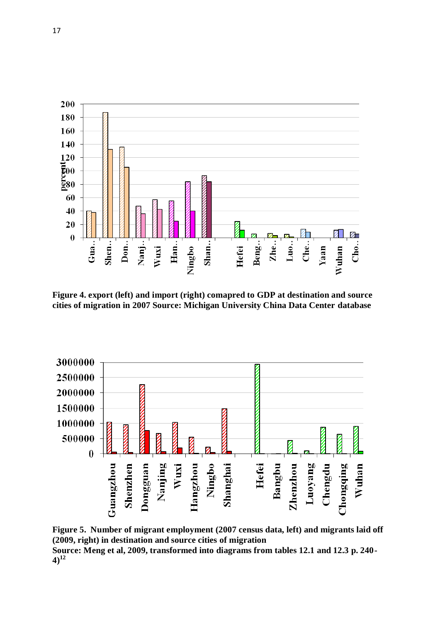

**Figure 4. export (left) and import (right) comapred to GDP at destination and source cities of migration in 2007 Source: Michigan University China Data Center database**



**Figure 5. Number of migrant employment (2007 census data, left) and migrants laid off (2009, right) in destination and source cities of migration Source: Meng et al, 2009, transformed into diagrams from tables 12.1 and 12.3 p. 240- 4)<sup>12</sup>**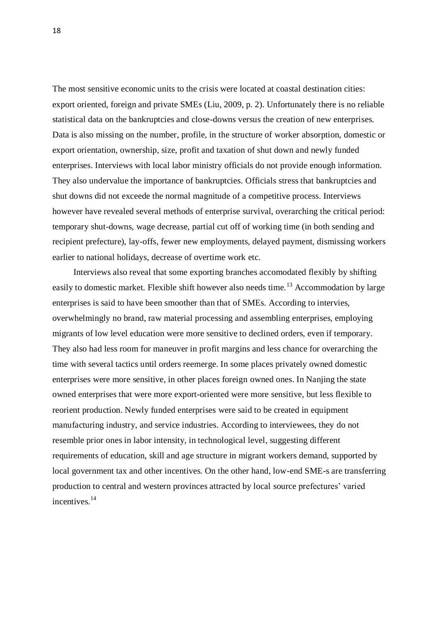The most sensitive economic units to the crisis were located at coastal destination cities: export oriented, foreign and private SMEs (Liu, 2009, p. 2). Unfortunately there is no reliable statistical data on the bankruptcies and close-downs versus the creation of new enterprises. Data is also missing on the number, profile, in the structure of worker absorption, domestic or export orientation, ownership, size, profit and taxation of shut down and newly funded enterprises. Interviews with local labor ministry officials do not provide enough information. They also undervalue the importance of bankruptcies. Officials stress that bankruptcies and shut downs did not exceede the normal magnitude of a competitive process. Interviews however have revealed several methods of enterprise survival, overarching the critical period: temporary shut-downs, wage decrease, partial cut off of working time (in both sending and recipient prefecture), lay-offs, fewer new employments, delayed payment, dismissing workers earlier to national holidays, decrease of overtime work etc.

Interviews also reveal that some exporting branches accomodated flexibly by shifting easily to domestic market. Flexible shift however also needs time.<sup>13</sup> Accommodation by large enterprises is said to have been smoother than that of SMEs. According to intervies, overwhelmingly no brand, raw material processing and assembling enterprises, employing migrants of low level education were more sensitive to declined orders, even if temporary. They also had less room for maneuver in profit margins and less chance for overarching the time with several tactics until orders reemerge. In some places privately owned domestic enterprises were more sensitive, in other places foreign owned ones. In Nanjing the state owned enterprises that were more export-oriented were more sensitive, but less flexible to reorient production. Newly funded enterprises were said to be created in equipment manufacturing industry, and service industries. According to interviewees, they do not resemble prior ones in labor intensity, in technological level, suggesting different requirements of education, skill and age structure in migrant workers demand, supported by local government tax and other incentives. On the other hand, low-end SME-s are transferring production to central and western provinces attracted by local source prefectures' varied incentives.<sup>14</sup>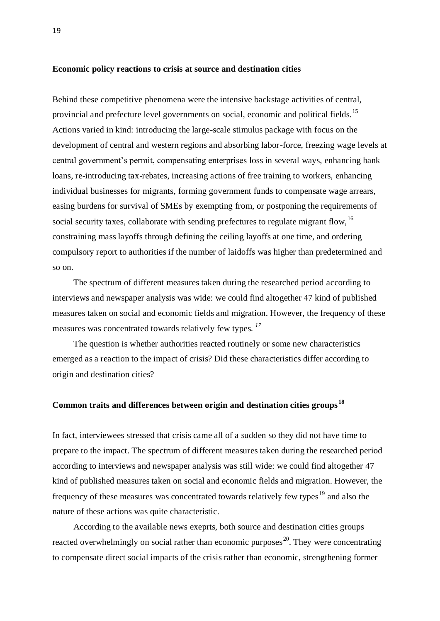#### **Economic policy reactions to crisis at source and destination cities**

Behind these competitive phenomena were the intensive backstage activities of central, provincial and prefecture level governments on social, economic and political fields.<sup>15</sup> Actions varied in kind: introducing the large-scale stimulus package with focus on the development of central and western regions and absorbing labor-force, freezing wage levels at central government's permit, compensating enterprises loss in several ways, enhancing bank loans, re-introducing tax-rebates, increasing actions of free training to workers, enhancing individual businesses for migrants, forming government funds to compensate wage arrears, easing burdens for survival of SMEs by exempting from, or postponing the requirements of social security taxes, collaborate with sending prefectures to regulate migrant flow, <sup>16</sup> constraining mass layoffs through defining the ceiling layoffs at one time, and ordering compulsory report to authorities if the number of laidoffs was higher than predetermined and so on.

The spectrum of different measures taken during the researched period according to interviews and newspaper analysis was wide: we could find altogether 47 kind of published measures taken on social and economic fields and migration. However, the frequency of these measures was concentrated towards relatively few types. *<sup>17</sup>*

The question is whether authorities reacted routinely or some new characteristics emerged as a reaction to the impact of crisis? Did these characteristics differ according to origin and destination cities?

## **Common traits and differences between origin and destination cities groups <sup>18</sup>**

In fact, interviewees stressed that crisis came all of a sudden so they did not have time to prepare to the impact. The spectrum of different measures taken during the researched period according to interviews and newspaper analysis was still wide: we could find altogether 47 kind of published measures taken on social and economic fields and migration. However, the frequency of these measures was concentrated towards relatively few types<sup>19</sup> and also the nature of these actions was quite characteristic.

According to the available news exeprts, both source and destination cities groups reacted overwhelmingly on social rather than economic purposes<sup>20</sup>. They were concentrating to compensate direct social impacts of the crisis rather than economic, strengthening former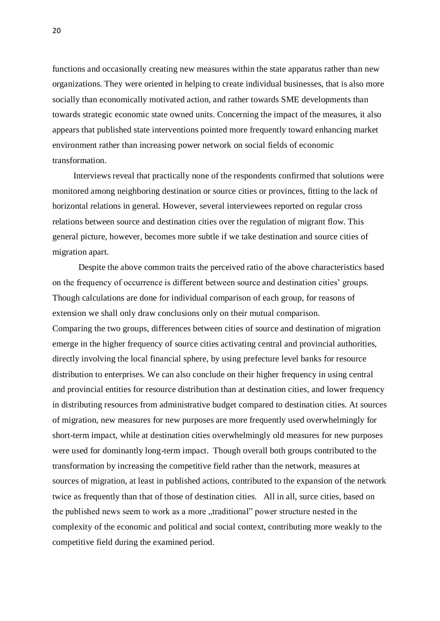functions and occasionally creating new measures within the state apparatus rather than new organizations. They were oriented in helping to create individual businesses, that is also more socially than economically motivated action, and rather towards SME developments than towards strategic economic state owned units. Concerning the impact of the measures, it also appears that published state interventions pointed more frequently toward enhancing market environment rather than increasing power network on social fields of economic transformation.

Interviews reveal that practically none of the respondents confirmed that solutions were monitored among neighboring destination or source cities or provinces, fitting to the lack of horizontal relations in general. However, several interviewees reported on regular cross relations between source and destination cities over the regulation of migrant flow. This general picture, however, becomes more subtle if we take destination and source cities of migration apart.

Despite the above common traits the perceived ratio of the above characteristics based on the frequency of occurrence is different between source and destination cities' groups. Though calculations are done for individual comparison of each group, for reasons of extension we shall only draw conclusions only on their mutual comparison. Comparing the two groups, differences between cities of source and destination of migration emerge in the higher frequency of source cities activating central and provincial authorities, directly involving the local financial sphere, by using prefecture level banks for resource distribution to enterprises. We can also conclude on their higher frequency in using central and provincial entities for resource distribution than at destination cities, and lower frequency in distributing resources from administrative budget compared to destination cities. At sources of migration, new measures for new purposes are more frequently used overwhelmingly for short-term impact, while at destination cities overwhelmingly old measures for new purposes were used for dominantly long-term impact. Though overall both groups contributed to the transformation by increasing the competitive field rather than the network, measures at sources of migration, at least in published actions, contributed to the expansion of the network twice as frequently than that of those of destination cities. All in all, surce cities, based on the published news seem to work as a more "traditional" power structure nested in the complexity of the economic and political and social context, contributing more weakly to the competitive field during the examined period.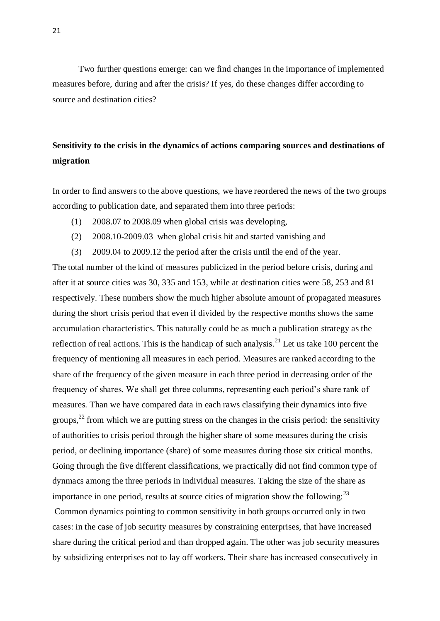Two further questions emerge: can we find changes in the importance of implemented measures before, during and after the crisis? If yes, do these changes differ according to source and destination cities?

# **Sensitivity to the crisis in the dynamics of actions comparing sources and destinations of migration**

In order to find answers to the above questions, we have reordered the news of the two groups according to publication date, and separated them into three periods:

- (1) 2008.07 to 2008.09 when global crisis was developing,
- (2) 2008.10-2009.03 when global crisis hit and started vanishing and
- (3) 2009.04 to 2009.12 the period after the crisis until the end of the year.

The total number of the kind of measures publicized in the period before crisis, during and after it at source cities was 30, 335 and 153, while at destination cities were 58, 253 and 81 respectively. These numbers show the much higher absolute amount of propagated measures during the short crisis period that even if divided by the respective months shows the same accumulation characteristics. This naturally could be as much a publication strategy as the reflection of real actions. This is the handicap of such analysis.<sup>21</sup> Let us take 100 percent the frequency of mentioning all measures in each period. Measures are ranked according to the share of the frequency of the given measure in each three period in decreasing order of the frequency of shares. We shall get three columns, representing each period's share rank of measures. Than we have compared data in each raws classifying their dynamics into five groups,  $^{22}$  from which we are putting stress on the changes in the crisis period: the sensitivity of authorities to crisis period through the higher share of some measures during the crisis period, or declining importance (share) of some measures during those six critical months. Going through the five different classifications, we practically did not find common type of dynmacs among the three periods in individual measures. Taking the size of the share as importance in one period, results at source cities of migration show the following:  $^{23}$ 

Common dynamics pointing to common sensitivity in both groups occurred only in two cases: in the case of job security measures by constraining enterprises, that have increased share during the critical period and than dropped again. The other was job security measures by subsidizing enterprises not to lay off workers. Their share has increased consecutively in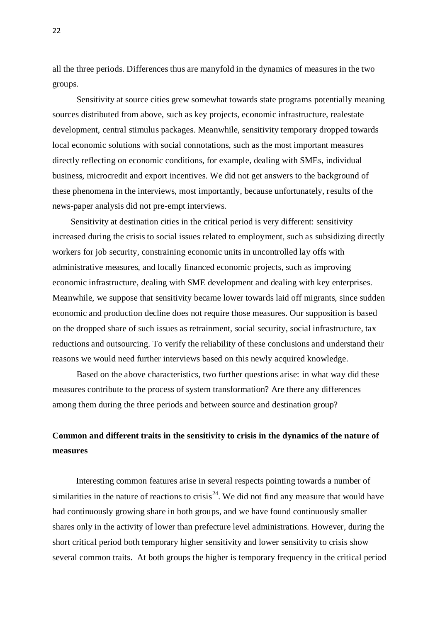all the three periods. Differences thus are manyfold in the dynamics of measures in the two groups.

Sensitivity at source cities grew somewhat towards state programs potentially meaning sources distributed from above, such as key projects, economic infrastructure, realestate development, central stimulus packages. Meanwhile, sensitivity temporary dropped towards local economic solutions with social connotations, such as the most important measures directly reflecting on economic conditions, for example, dealing with SMEs, individual business, microcredit and export incentives. We did not get answers to the background of these phenomena in the interviews, most importantly, because unfortunately, results of the news-paper analysis did not pre-empt interviews.

Sensitivity at destination cities in the critical period is very different: sensitivity increased during the crisis to social issues related to employment, such as subsidizing directly workers for job security, constraining economic units in uncontrolled lay offs with administrative measures, and locally financed economic projects, such as improving economic infrastructure, dealing with SME development and dealing with key enterprises. Meanwhile, we suppose that sensitivity became lower towards laid off migrants, since sudden economic and production decline does not require those measures. Our supposition is based on the dropped share of such issues as retrainment, social security, social infrastructure, tax reductions and outsourcing. To verify the reliability of these conclusions and understand their reasons we would need further interviews based on this newly acquired knowledge.

Based on the above characteristics, two further questions arise: in what way did these measures contribute to the process of system transformation? Are there any differences among them during the three periods and between source and destination group?

## **Common and different traits in the sensitivity to crisis in the dynamics of the nature of measures**

Interesting common features arise in several respects pointing towards a number of similarities in the nature of reactions to crisis<sup>24</sup>. We did not find any measure that would have had continuously growing share in both groups, and we have found continuously smaller shares only in the activity of lower than prefecture level administrations. However, during the short critical period both temporary higher sensitivity and lower sensitivity to crisis show several common traits. At both groups the higher is temporary frequency in the critical period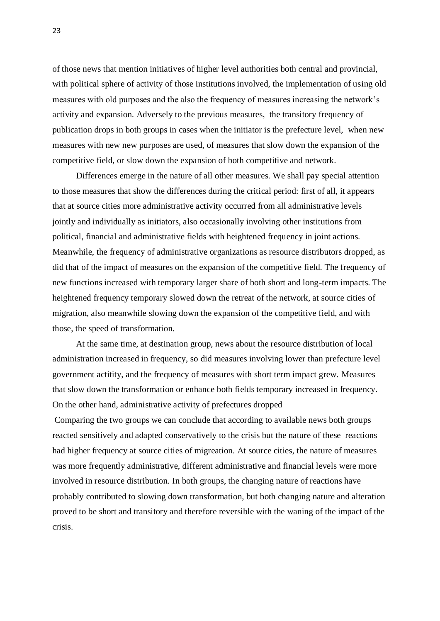of those news that mention initiatives of higher level authorities both central and provincial, with political sphere of activity of those institutions involved, the implementation of using old measures with old purposes and the also the frequency of measures increasing the network's activity and expansion. Adversely to the previous measures, the transitory frequency of publication drops in both groups in cases when the initiator is the prefecture level, when new measures with new new purposes are used, of measures that slow down the expansion of the competitive field, or slow down the expansion of both competitive and network.

Differences emerge in the nature of all other measures. We shall pay special attention to those measures that show the differences during the critical period: first of all, it appears that at source cities more administrative activity occurred from all administrative levels jointly and individually as initiators, also occasionally involving other institutions from political, financial and administrative fields with heightened frequency in joint actions. Meanwhile, the frequency of administrative organizations as resource distributors dropped, as did that of the impact of measures on the expansion of the competitive field. The frequency of new functions increased with temporary larger share of both short and long-term impacts. The heightened frequency temporary slowed down the retreat of the network, at source cities of migration, also meanwhile slowing down the expansion of the competitive field, and with those, the speed of transformation.

At the same time, at destination group, news about the resource distribution of local administration increased in frequency, so did measures involving lower than prefecture level government actitity, and the frequency of measures with short term impact grew. Measures that slow down the transformation or enhance both fields temporary increased in frequency. On the other hand, administrative activity of prefectures dropped

Comparing the two groups we can conclude that according to available news both groups reacted sensitively and adapted conservatively to the crisis but the nature of these reactions had higher frequency at source cities of migreation. At source cities, the nature of measures was more frequently administrative, different administrative and financial levels were more involved in resource distribution. In both groups, the changing nature of reactions have probably contributed to slowing down transformation, but both changing nature and alteration proved to be short and transitory and therefore reversible with the waning of the impact of the crisis.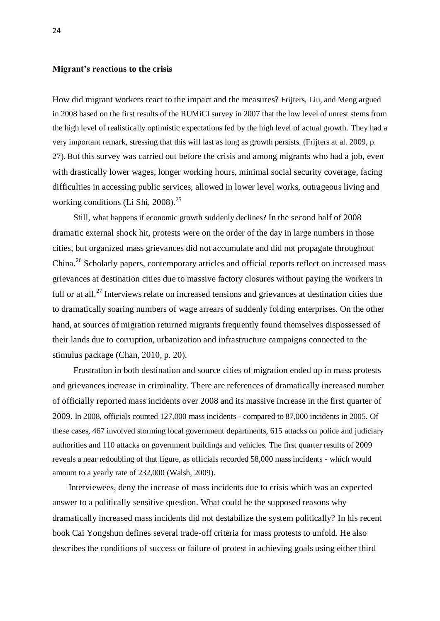#### **Migrant's reactions to the crisis**

How did migrant workers react to the impact and the measures? Frijters, Liu, and Meng argued in 2008 based on the first results of the RUMiCI survey in 2007 that the low level of unrest stems from the high level of realistically optimistic expectations fed by the high level of actual growth. They had a very important remark, stressing that this will last as long as growth persists. (Frijters at al. 2009, p. 27). But this survey was carried out before the crisis and among migrants who had a job, even with drastically lower wages, longer working hours, minimal social security coverage, facing difficulties in accessing public services, allowed in lower level works, outrageous living and working conditions (Li Shi,  $2008$ ).<sup>25</sup>

Still, what happens if economic growth suddenly declines? In the second half of 2008 dramatic external shock hit, protests were on the order of the day in large numbers in those cities, but organized mass grievances did not accumulate and did not propagate throughout China.<sup>26</sup> Scholarly papers, contemporary articles and official reports reflect on increased mass grievances at destination cities due to massive factory closures without paying the workers in full or at all.<sup>27</sup> Interviews relate on increased tensions and grievances at destination cities due to dramatically soaring numbers of wage arrears of suddenly folding enterprises. On the other hand, at sources of migration returned migrants frequently found themselves dispossessed of their lands due to corruption, urbanization and infrastructure campaigns connected to the stimulus package (Chan, 2010, p. 20).

Frustration in both destination and source cities of migration ended up in mass protests and grievances increase in criminality. There are references of dramatically increased number of officially reported mass incidents over 2008 and its massive increase in the first quarter of 2009. In 2008, officials counted 127,000 mass incidents - compared to 87,000 incidents in 2005. Of these cases, 467 involved storming local government departments, 615 attacks on police and judiciary authorities and 110 attacks on government buildings and vehicles. The first quarter results of 2009 reveals a near redoubling of that figure, as officials recorded 58,000 mass incidents - which would amount to a yearly rate of 232,000 (Walsh, 2009).

Interviewees, deny the increase of mass incidents due to crisis which was an expected answer to a politically sensitive question. What could be the supposed reasons why dramatically increased mass incidents did not destabilize the system politically? In his recent book Cai Yongshun defines several trade-off criteria for mass protests to unfold. He also describes the conditions of success or failure of protest in achieving goals using either third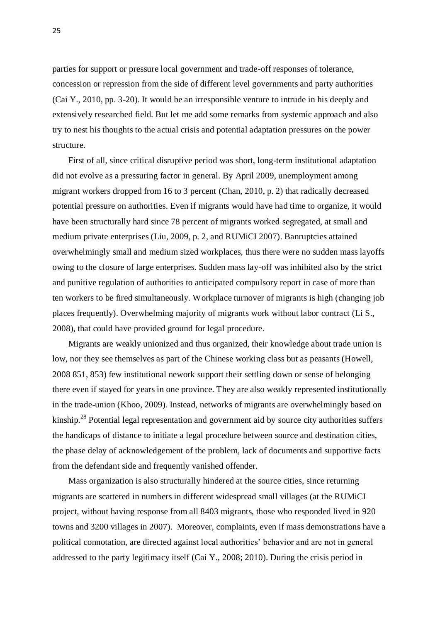parties for support or pressure local government and trade-off responses of tolerance, concession or repression from the side of different level governments and party authorities (Cai Y., 2010, pp. 3-20). It would be an irresponsible venture to intrude in his deeply and extensively researched field. But let me add some remarks from systemic approach and also try to nest his thoughts to the actual crisis and potential adaptation pressures on the power structure.

First of all, since critical disruptive period was short, long-term institutional adaptation did not evolve as a pressuring factor in general. By April 2009, unemployment among migrant workers dropped from 16 to 3 percent (Chan, 2010, p. 2) that radically decreased potential pressure on authorities. Even if migrants would have had time to organize, it would have been structurally hard since 78 percent of migrants worked segregated, at small and medium private enterprises (Liu, 2009, p. 2, and RUMiCI 2007). Banruptcies attained overwhelmingly small and medium sized workplaces, thus there were no sudden mass layoffs owing to the closure of large enterprises. Sudden mass lay-off was inhibited also by the strict and punitive regulation of authorities to anticipated compulsory report in case of more than ten workers to be fired simultaneously. Workplace turnover of migrants is high (changing job places frequently). Overwhelming majority of migrants work without labor contract (Li S., 2008), that could have provided ground for legal procedure.

Migrants are weakly unionized and thus organized, their knowledge about trade union is low, nor they see themselves as part of the Chinese working class but as peasants (Howell, 2008 851, 853) few institutional nework support their settling down or sense of belonging there even if stayed for years in one province. They are also weakly represented institutionally in the trade-union (Khoo, 2009). Instead, networks of migrants are overwhelmingly based on kinship.<sup>28</sup> Potential legal representation and government aid by source city authorities suffers the handicaps of distance to initiate a legal procedure between source and destination cities, the phase delay of acknowledgement of the problem, lack of documents and supportive facts from the defendant side and frequently vanished offender.

Mass organization is also structurally hindered at the source cities, since returning migrants are scattered in numbers in different widespread small villages (at the RUMiCI project, without having response from all 8403 migrants, those who responded lived in 920 towns and 3200 villages in 2007). Moreover, complaints, even if mass demonstrations have a political connotation, are directed against local authorities' behavior and are not in general addressed to the party legitimacy itself (Cai Y., 2008; 2010). During the crisis period in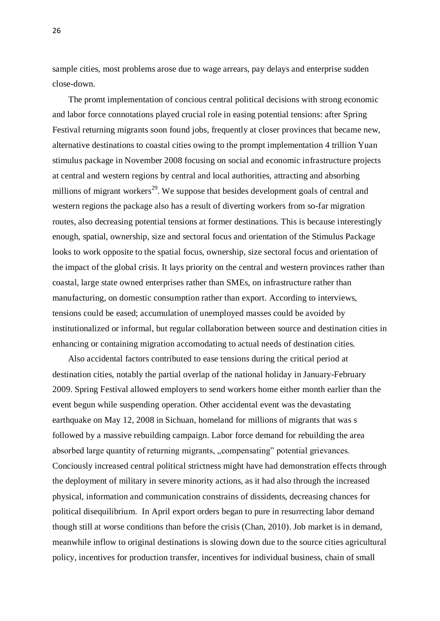sample cities, most problems arose due to wage arrears, pay delays and enterprise sudden close-down.

The promt implementation of concious central political decisions with strong economic and labor force connotations played crucial role in easing potential tensions: after Spring Festival returning migrants soon found jobs, frequently at closer provinces that became new, alternative destinations to coastal cities owing to the prompt implementation 4 trillion Yuan stimulus package in November 2008 focusing on social and economic infrastructure projects at central and western regions by central and local authorities, attracting and absorbing millions of migrant workers<sup>29</sup>. We suppose that besides development goals of central and western regions the package also has a result of diverting workers from so-far migration routes, also decreasing potential tensions at former destinations. This is because interestingly enough, spatial, ownership, size and sectoral focus and orientation of the Stimulus Package looks to work opposite to the spatial focus, ownership, size sectoral focus and orientation of the impact of the global crisis. It lays priority on the central and western provinces rather than coastal, large state owned enterprises rather than SMEs, on infrastructure rather than manufacturing, on domestic consumption rather than export. According to interviews, tensions could be eased; accumulation of unemployed masses could be avoided by institutionalized or informal, but regular collaboration between source and destination cities in enhancing or containing migration accomodating to actual needs of destination cities.

Also accidental factors contributed to ease tensions during the critical period at destination cities, notably the partial overlap of the national holiday in January-February 2009. Spring Festival allowed employers to send workers home either month earlier than the event begun while suspending operation. Other accidental event was the devastating earthquake on May 12, 2008 in Sichuan, homeland for millions of migrants that was s followed by a massive rebuilding campaign. Labor force demand for rebuilding the area absorbed large quantity of returning migrants, "compensating" potential grievances. Conciously increased central political strictness might have had demonstration effects through the deployment of military in severe minority actions, as it had also through the increased physical, information and communication constrains of dissidents, decreasing chances for political disequilibrium. In April export orders began to pure in resurrecting labor demand though still at worse conditions than before the crisis (Chan, 2010). Job market is in demand, meanwhile inflow to original destinations is slowing down due to the source cities agricultural policy, incentives for production transfer, incentives for individual business, chain of small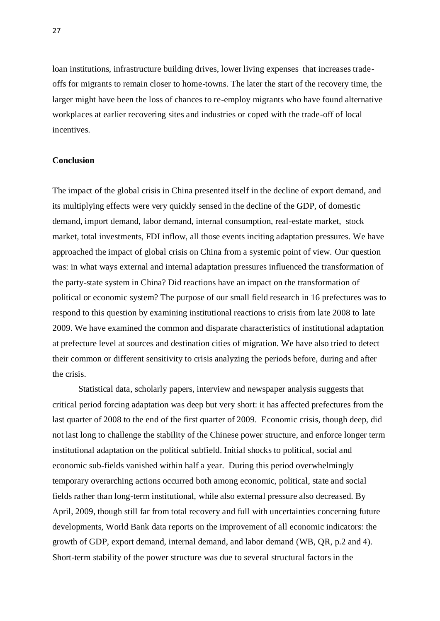loan institutions, infrastructure building drives, lower living expenses that increases tradeoffs for migrants to remain closer to home-towns. The later the start of the recovery time, the larger might have been the loss of chances to re-employ migrants who have found alternative workplaces at earlier recovering sites and industries or coped with the trade-off of local incentives.

## **Conclusion**

The impact of the global crisis in China presented itself in the decline of export demand, and its multiplying effects were very quickly sensed in the decline of the GDP, of domestic demand, import demand, labor demand, internal consumption, real-estate market, stock market, total investments, FDI inflow, all those events inciting adaptation pressures. We have approached the impact of global crisis on China from a systemic point of view. Our question was: in what ways external and internal adaptation pressures influenced the transformation of the party-state system in China? Did reactions have an impact on the transformation of political or economic system? The purpose of our small field research in 16 prefectures was to respond to this question by examining institutional reactions to crisis from late 2008 to late 2009. We have examined the common and disparate characteristics of institutional adaptation at prefecture level at sources and destination cities of migration. We have also tried to detect their common or different sensitivity to crisis analyzing the periods before, during and after the crisis.

Statistical data, scholarly papers, interview and newspaper analysis suggests that critical period forcing adaptation was deep but very short: it has affected prefectures from the last quarter of 2008 to the end of the first quarter of 2009. Economic crisis, though deep, did not last long to challenge the stability of the Chinese power structure, and enforce longer term institutional adaptation on the political subfield. Initial shocks to political, social and economic sub-fields vanished within half a year. During this period overwhelmingly temporary overarching actions occurred both among economic, political, state and social fields rather than long-term institutional, while also external pressure also decreased. By April, 2009, though still far from total recovery and full with uncertainties concerning future developments, World Bank data reports on the improvement of all economic indicators: the growth of GDP, export demand, internal demand, and labor demand (WB, QR, p.2 and 4). Short-term stability of the power structure was due to several structural factors in the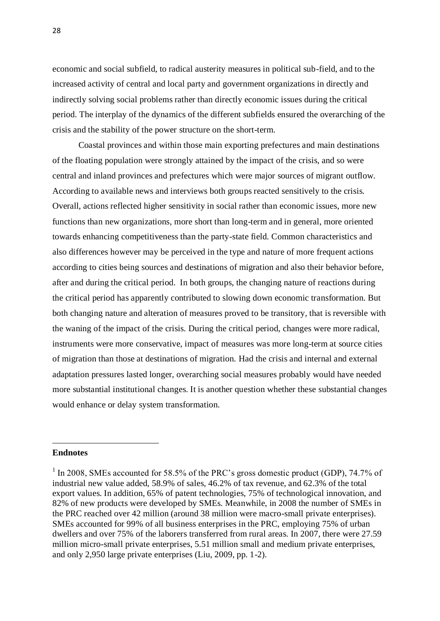economic and social subfield, to radical austerity measures in political sub-field, and to the increased activity of central and local party and government organizations in directly and indirectly solving social problems rather than directly economic issues during the critical period. The interplay of the dynamics of the different subfields ensured the overarching of the crisis and the stability of the power structure on the short-term.

Coastal provinces and within those main exporting prefectures and main destinations of the floating population were strongly attained by the impact of the crisis, and so were central and inland provinces and prefectures which were major sources of migrant outflow. According to available news and interviews both groups reacted sensitively to the crisis. Overall, actions reflected higher sensitivity in social rather than economic issues, more new functions than new organizations, more short than long-term and in general, more oriented towards enhancing competitiveness than the party-state field. Common characteristics and also differences however may be perceived in the type and nature of more frequent actions according to cities being sources and destinations of migration and also their behavior before, after and during the critical period. In both groups, the changing nature of reactions during the critical period has apparently contributed to slowing down economic transformation. But both changing nature and alteration of measures proved to be transitory, that is reversible with the waning of the impact of the crisis. During the critical period, changes were more radical, instruments were more conservative, impact of measures was more long-term at source cities of migration than those at destinations of migration. Had the crisis and internal and external adaptation pressures lasted longer, overarching social measures probably would have needed more substantial institutional changes. It is another question whether these substantial changes would enhance or delay system transformation.

#### **Endnotes**

 $\overline{a}$ 

<sup>&</sup>lt;sup>1</sup> In 2008, SMEs accounted for 58.5% of the PRC's gross domestic product (GDP), 74.7% of industrial new value added, 58.9% of sales, 46.2% of tax revenue, and 62.3% of the total export values. In addition, 65% of patent technologies, 75% of technological innovation, and 82% of new products were developed by SMEs. Meanwhile, in 2008 the number of SMEs in the PRC reached over 42 million (around 38 million were macro-small private enterprises). SMEs accounted for 99% of all business enterprises in the PRC, employing 75% of urban dwellers and over 75% of the laborers transferred from rural areas. In 2007, there were 27.59 million micro-small private enterprises, 5.51 million small and medium private enterprises, and only 2,950 large private enterprises (Liu, 2009, pp. 1-2).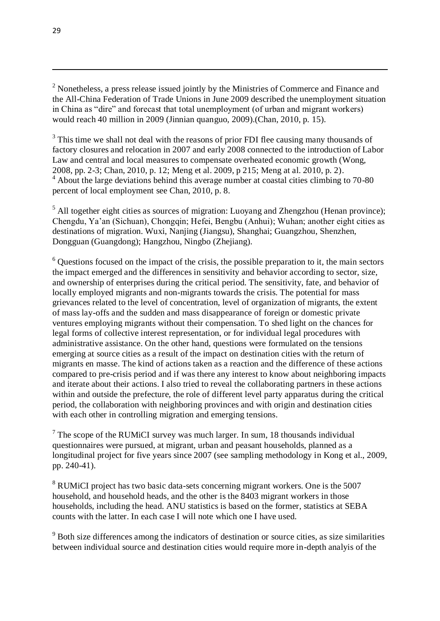<sup>2</sup> Nonetheless, a press release issued jointly by the Ministries of Commerce and Finance and the All-China Federation of Trade Unions in June 2009 described the unemployment situation in China as "dire" and forecast that total unemployment (of urban and migrant workers) would reach 40 million in 2009 (Jinnian quanguo, 2009).(Chan, 2010, p. 15).

<sup>3</sup> This time we shall not deal with the reasons of prior FDI flee causing many thousands of factory closures and relocation in 2007 and early 2008 connected to the introduction of Labor Law and central and local measures to compensate overheated economic growth (Wong, 2008, pp. 2-3; Chan, 2010, p. 12; Meng et al. 2009, p 215; Meng at al. 2010, p. 2).  $4$  About the large deviations behind this average number at coastal cities climbing to 70-80 percent of local employment see Chan, 2010, p. 8.

 $<sup>5</sup>$  All together eight cities as sources of migration: Luoyang and Zhengzhou (Henan province);</sup> Chengdu, Ya'an (Sichuan), Chongqin; Hefei, Bengbu (Anhui); Wuhan; another eight cities as destinations of migration. Wuxi, Nanjing (Jiangsu), Shanghai; Guangzhou, Shenzhen, Dongguan (Guangdong); Hangzhou, Ningbo (Zhejiang).

 $6$  Questions focused on the impact of the crisis, the possible preparation to it, the main sectors the impact emerged and the differences in sensitivity and behavior according to sector, size, and ownership of enterprises during the critical period. The sensitivity, fate, and behavior of locally employed migrants and non-migrants towards the crisis. The potential for mass grievances related to the level of concentration, level of organization of migrants, the extent of mass lay-offs and the sudden and mass disappearance of foreign or domestic private ventures employing migrants without their compensation. To shed light on the chances for legal forms of collective interest representation, or for individual legal procedures with administrative assistance. On the other hand, questions were formulated on the tensions emerging at source cities as a result of the impact on destination cities with the return of migrants en masse. The kind of actions taken as a reaction and the difference of these actions compared to pre-crisis period and if was there any interest to know about neighboring impacts and iterate about their actions. I also tried to reveal the collaborating partners in these actions within and outside the prefecture, the role of different level party apparatus during the critical period, the collaboration with neighboring provinces and with origin and destination cities with each other in controlling migration and emerging tensions.

 $<sup>7</sup>$  The scope of the RUMiCI survey was much larger. In sum, 18 thousands individual</sup> questionnaires were pursued, at migrant, urban and peasant households, planned as a longitudinal project for five years since 2007 (see sampling methodology in Kong et al., 2009, pp. 240-41).

<sup>8</sup> RUMiCI project has two basic data-sets concerning migrant workers. One is the 5007 household, and household heads, and the other is the 8403 migrant workers in those households, including the head. ANU statistics is based on the former, statistics at SEBA counts with the latter. In each case I will note which one I have used.

 $9^9$  Both size differences among the indicators of destination or source cities, as size similarities between individual source and destination cities would require more in-depth analyis of the

j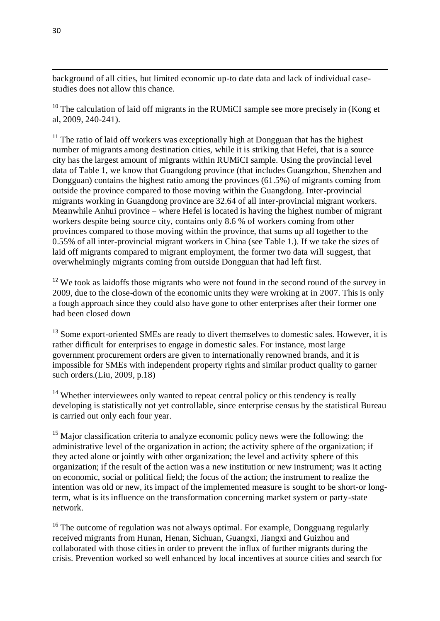j background of all cities, but limited economic up-to date data and lack of individual casestudies does not allow this chance.

 $10$  The calculation of laid off migrants in the RUMiCI sample see more precisely in (Kong et al, 2009, 240-241).

 $11$ <sup>11</sup> The ratio of laid off workers was exceptionally high at Dongguan that has the highest number of migrants among destination cities, while it is striking that Hefei, that is a source city has the largest amount of migrants within RUMiCI sample. Using the provincial level data of Table 1, we know that Guangdong province (that includes Guangzhou, Shenzhen and Dongguan) contains the highest ratio among the provinces (61.5%) of migrants coming from outside the province compared to those moving within the Guangdong. Inter-provincial migrants working in Guangdong province are 32.64 of all inter-provincial migrant workers. Meanwhile Anhui province – where Hefei is located is having the highest number of migrant workers despite being source city, contains only 8.6 % of workers coming from other provinces compared to those moving within the province, that sums up all together to the 0.55% of all inter-provincial migrant workers in China (see Table 1.). If we take the sizes of laid off migrants compared to migrant employment, the former two data will suggest, that overwhelmingly migrants coming from outside Dongguan that had left first.

 $12$  We took as laidoffs those migrants who were not found in the second round of the survey in 2009, due to the close-down of the economic units they were wroking at in 2007. This is only a fough approach since they could also have gone to other enterprises after their former one had been closed down

 $13$  Some export-oriented SMEs are ready to divert themselves to domestic sales. However, it is rather difficult for enterprises to engage in domestic sales. For instance, most large government procurement orders are given to internationally renowned brands, and it is impossible for SMEs with independent property rights and similar product quality to garner such orders.(Liu, 2009, p.18)

 $14$  Whether interviewees only wanted to repeat central policy or this tendency is really developing is statistically not yet controllable, since enterprise census by the statistical Bureau is carried out only each four year.

<sup>15</sup> Major classification criteria to analyze economic policy news were the following: the administrative level of the organization in action; the activity sphere of the organization; if they acted alone or jointly with other organization; the level and activity sphere of this organization; if the result of the action was a new institution or new instrument; was it acting on economic, social or political field; the focus of the action; the instrument to realize the intention was old or new, its impact of the implemented measure is sought to be short-or longterm, what is its influence on the transformation concerning market system or party-state network.

<sup>16</sup> The outcome of regulation was not always optimal. For example, Dongguang regularly received migrants from Hunan, Henan, Sichuan, Guangxi, Jiangxi and Guizhou and collaborated with those cities in order to prevent the influx of further migrants during the crisis. Prevention worked so well enhanced by local incentives at source cities and search for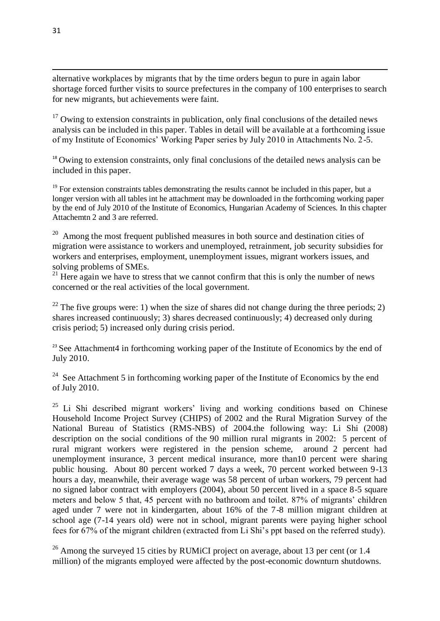j alternative workplaces by migrants that by the time orders begun to pure in again labor shortage forced further visits to source prefectures in the company of 100 enterprises to search for new migrants, but achievements were faint.

 $17$  Owing to extension constraints in publication, only final conclusions of the detailed news analysis can be included in this paper. Tables in detail will be available at a forthcoming issue of my Institute of Economics' Working Paper series by July 2010 in Attachments No. 2-5.

<sup>18</sup> Owing to extension constraints, only final conclusions of the detailed news analysis can be included in this paper.

 $19$  For extension constraints tables demonstrating the results cannot be included in this paper, but a longer version with all tables int he attachment may be downloaded in the forthcoming working paper by the end of July 2010 of the Institute of Economics, Hungarian Academy of Sciences. In this chapter Attachemtn 2 and 3 are referred.

 $20$  Among the most frequent published measures in both source and destination cities of migration were assistance to workers and unemployed, retrainment, job security subsidies for workers and enterprises, employment, unemployment issues, migrant workers issues, and solving problems of SMEs.

 $21$  Here again we have to stress that we cannot confirm that this is only the number of news concerned or the real activities of the local government.

 $^{22}$  The five groups were: 1) when the size of shares did not change during the three periods; 2) shares increased continuously; 3) shares decreased continuously; 4) decreased only during crisis period; 5) increased only during crisis period.

<sup>23</sup> See Attachment4 in forthcoming working paper of the Institute of Economics by the end of July 2010.

<sup>24</sup> See Attachment 5 in forthcoming working paper of the Institute of Economics by the end of July 2010.

<sup>25</sup> Li Shi described migrant workers' living and working conditions based on Chinese Household Income Project Survey (CHIPS) of 2002 and the Rural Migration Survey of the National Bureau of Statistics (RMS-NBS) of 2004.the following way: Li Shi (2008) description on the social conditions of the 90 million rural migrants in 2002: 5 percent of rural migrant workers were registered in the pension scheme, around 2 percent had unemployment insurance, 3 percent medical insurance, more than10 percent were sharing public housing. About 80 percent worked 7 days a week, 70 percent worked between 9-13 hours a day, meanwhile, their average wage was 58 percent of urban workers, 79 percent had no signed labor contract with employers (2004), about 50 percent lived in a space 8-5 square meters and below 5 that, 45 percent with no bathroom and toilet. 87% of migrants' children aged under 7 were not in kindergarten, about 16% of the 7-8 million migrant children at school age (7-14 years old) were not in school, migrant parents were paying higher school fees for 67% of the migrant children (extracted from Li Shi's ppt based on the referred study).

 $26$  Among the surveyed 15 cities by RUMiCI project on average, about 13 per cent (or 1.4 million) of the migrants employed were affected by the post-economic downturn shutdowns.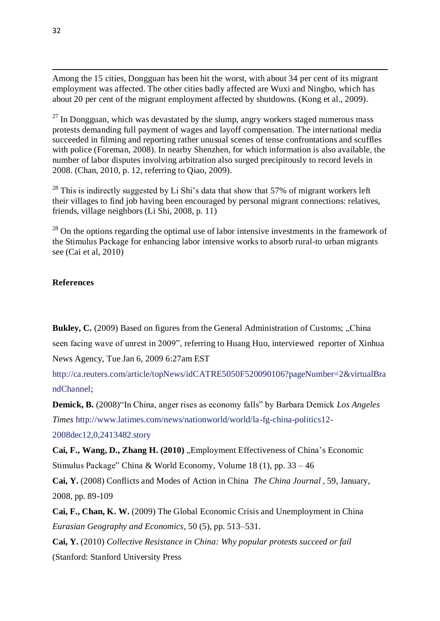j Among the 15 cities, Dongguan has been hit the worst, with about 34 per cent of its migrant employment was affected. The other cities badly affected are Wuxi and Ningbo, which has about 20 per cent of the migrant employment affected by shutdowns. (Kong et al., 2009).

 $^{27}$  In Dongguan, which was devastated by the slump, angry workers staged numerous mass protests demanding full payment of wages and layoff compensation. The international media succeeded in filming and reporting rather unusual scenes of tense confrontations and scuffles with police (Foreman, 2008). In nearby Shenzhen, for which information is also available, the number of labor disputes involving arbitration also surged precipitously to record levels in 2008. (Chan, 2010, p. 12, referring to Qiao, 2009).

 $^{28}$  This is indirectly suggested by Li Shi's data that show that 57% of migrant workers left their villages to find job having been encouraged by personal migrant connections: relatives, friends, village neighbors (Li Shi, 2008, p. 11)

 $28$  On the options regarding the optimal use of labor intensive investments in the framework of the Stimulus Package for enhancing labor intensive works to absorb rural-to urban migrants see (Cai et al, 2010)

## **References**

**Bukley, C.** (2009) Based on figures from the General Administration of Customs; "China seen facing wave of unrest in 2009", referring to Huang Huo, interviewed reporter of Xinhua News Agency, Tue Jan 6, 2009 6:27am EST

[http://ca.reuters.com/article/topNews/idCATRE5050F520090106?pageNumber=2&virtualBra](http://ca.reuters.com/article/topNews/idCATRE5050F520090106?pageNumber=2&virtualBrandChannel) [ndChannel;](http://ca.reuters.com/article/topNews/idCATRE5050F520090106?pageNumber=2&virtualBrandChannel)

**Demick, B.** (2008)"In China, anger rises as economy falls" by Barbara Demick *Los Angeles Times* [http://www.latimes.com/news/nationworld/world/la-fg-china-politics12-](http://www.latimes.com/news/nationworld/world/la-fg-china-politics12-2008dec12,0,2413482.story)

[2008dec12,0,2413482.story](http://www.latimes.com/news/nationworld/world/la-fg-china-politics12-2008dec12,0,2413482.story)

**Cai, F., Wang, D., Zhang H. (2010)** "Employment Effectiveness of China's Economic Stimulus Package" [China & World Economy,](http://www3.interscience.wiley.com/journal/118001863/home) [Volume 18 \(1\),](http://www3.interscience.wiley.com/journal/123243458/issue) pp. 33 – 46

**Cai, Y.** (2008) Conflicts and Modes of Action in China *The China Journal* , 59, January, 2008, pp. 89-109

**Cai, F., Chan, K. W.** (2009) The Global Economic Crisis and Unemployment in China *Eurasian Geography and Economics*, 50 (5), pp. 513–531.

**Cai, Y.** (2010) *Collective Resistance in China: Why popular protests succeed or fail*  (Stanford: Stanford University Press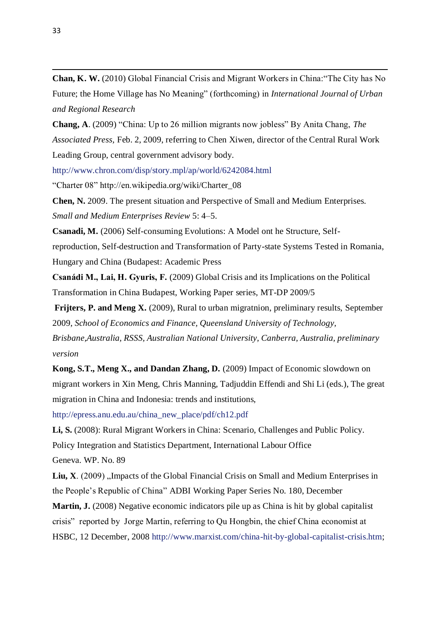**Chan, K. W.** (2010) Global Financial Crisis and Migrant Workers in China:"The City has No Future; the Home Village has No Meaning" (forthcoming) in *International Journal of Urban and Regional Research*

**Chang, A**. (2009) "China: Up to 26 million migrants now jobless" By Anita Chang, *The Associated Press,* Feb. 2, 2009, referring to Chen Xiwen, director of the Central Rural Work Leading Group, central government advisory body.

<http://www.chron.com/disp/story.mpl/ap/world/6242084.html>

"Charter 08" http://en.wikipedia.org/wiki/Charter\_08

**Chen, N.** 2009. The present situation and Perspective of Small and Medium Enterprises. *Small and Medium Enterprises Review* 5: 4–5.

**Csanadi, M.** (2006) Self-consuming Evolutions: A Model ont he Structure, Selfreproduction, Self-destruction and Transformation of Party-state Systems Tested in Romania, Hungary and China (Budapest: Academic Press

**Csanádi M., Lai, H. Gyuris, F.** (2009) [Global Crisis and its Implications on the Political](http://www.econ.core.hu/file/download/mtdp/MTDP0905.pdf)  [Transformation in China Budapest, Working Paper series, MT-DP 2009/5](http://www.econ.core.hu/file/download/mtdp/MTDP0905.pdf)

**[F](http://www.econ.core.hu/file/download/mtdp/MTDP0905.pdf)rijters, P. and Meng X.** (2009), Rural to urban migratnion, preliminary results, September 2009, *School of Economics and Finance, Queensland University of Technology, Brisbane,Australia, RSSS, Australian National University, Canberra, Australia, preliminary version*

**Kong, S.T., Meng X., and Dandan Zhang, D.** (2009) Impact of Economic slowdown on migrant workers in Xin Meng, Chris Manning, Tadjuddin Effendi and Shi Li (eds.), The great migration in China and Indonesia: trends and institutions,

[http://epress.anu.edu.au/china\\_new\\_place/pdf/ch12.pdf](http://epress.anu.edu.au/china_new_place/pdf/ch12.pdf)

**Li, S.** (2008): Rural Migrant Workers in China: Scenario, Challenges and Public Policy. Policy Integration and Statistics Department, International Labour Office Geneva. WP. No. 89

**Liu, X**. (2009) "Impacts of the Global Financial Crisis on Small and Medium Enterprises in the People's Republic of China" ADBI Working Paper Series No. 180, December

**Martin, J.** (2008) Negative economic indicators pile up as China is hit by global capitalist crisis" reported by Jorge Martin, referring to Qu Hongbin, the chief China economist at HSBC, 12 December, 2008 [http://www.marxist.com/china-hit-by-global-capitalist-crisis.htm;](http://www.marxist.com/china-hit-by-global-capitalist-crisis.htm)

j